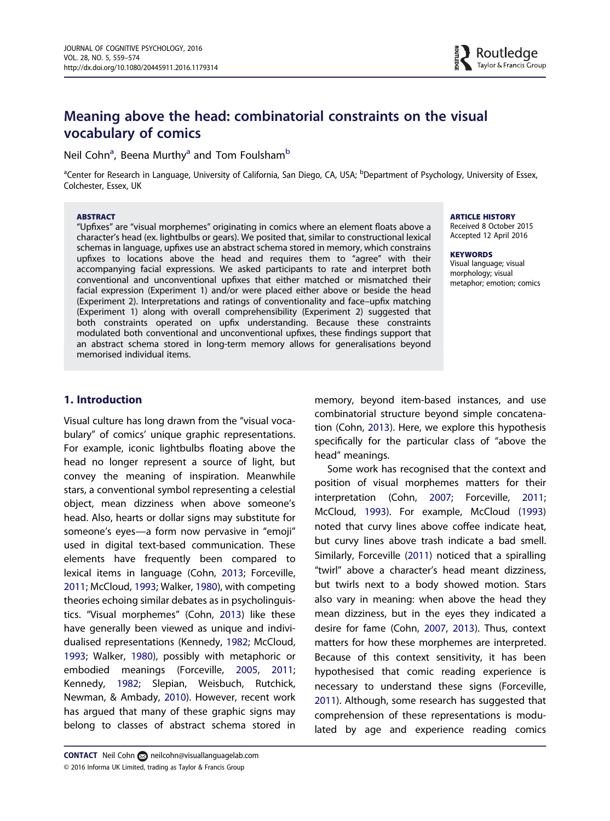# <span id="page-0-0"></span>Meaning above the head: combinatorial constraints on the visual vocabulary of comics

# Neil Cohn<sup>a</sup>, Beena Murthy<sup>a</sup> and Tom Foulsham<sup>b</sup>

<sup>a</sup>Center for Research in Language, University of California, San Diego, CA, USA; <sup>b</sup>Department of Psychology, University of Essex, Colchester, Essex, UK

#### **ABSTRACT**

"Upfixes" are "visual morphemes" originating in comics where an element floats above a character's head (ex. lightbulbs or gears). We posited that, similar to constructional lexical schemas in language, upfixes use an abstract schema stored in memory, which constrains upfixes to locations above the head and requires them to "agree" with their accompanying facial expressions. We asked participants to rate and interpret both conventional and unconventional upfixes that either matched or mismatched their facial expression (Experiment 1) and/or were placed either above or beside the head (Experiment 2). Interpretations and ratings of conventionality and face–upfix matching (Experiment 1) along with overall comprehensibility (Experiment 2) suggested that both constraints operated on upfix understanding. Because these constraints modulated both conventional and unconventional upfixes, these findings support that an abstract schema stored in long-term memory allows for generalisations beyond memorised individual items.

# ARTICLE HISTORY

Received 8 October 2015 Accepted 12 April 2016

#### **KEYWORDS**

Visual language; visual morphology; visual metaphor; emotion; comics

# 1. Introduction

Visual culture has long drawn from the "visual vocabulary" of comics' unique graphic representations. For example, iconic lightbulbs floating above the head no longer represent a source of light, but convey the meaning of inspiration. Meanwhile stars, a conventional symbol representing a celestial object, mean dizziness when above someone's head. Also, hearts or dollar signs may substitute for someone's eyes—a form now pervasive in "emoji" used in digital text-based communication. These elements have frequently been compared to lexical items in language (Cohn, [2013;](#page-14-0) Forceville, [2011](#page-15-0); McCloud, [1993](#page-15-0); Walker, [1980](#page-15-0)), with competing theories echoing similar debates as in psycholinguistics. "Visual morphemes" (Cohn, [2013\)](#page-14-0) like these have generally been viewed as unique and individualised representations (Kennedy, [1982;](#page-15-0) McCloud, [1993](#page-15-0); Walker, [1980](#page-15-0)), possibly with metaphoric or embodied meanings (Forceville, [2005,](#page-14-0) [2011](#page-15-0); Kennedy, [1982](#page-15-0); Slepian, Weisbuch, Rutchick, Newman, & Ambady, [2010\)](#page-15-0). However, recent work has argued that many of these graphic signs may belong to classes of abstract schema stored in

memory, beyond item-based instances, and use combinatorial structure beyond simple concatenation (Cohn, [2013\)](#page-14-0). Here, we explore this hypothesis specifically for the particular class of "above the head" meanings.

Some work has recognised that the context and position of visual morphemes matters for their interpretation (Cohn, [2007](#page-14-0); Forceville, [2011;](#page-15-0) McCloud, [1993](#page-15-0)). For example, McCloud [\(1993\)](#page-15-0) noted that curvy lines above coffee indicate heat, but curvy lines above trash indicate a bad smell. Similarly, Forceville ([2011](#page-15-0)) noticed that a spiralling "twirl" above a character's head meant dizziness, but twirls next to a body showed motion. Stars also vary in meaning: when above the head they mean dizziness, but in the eyes they indicated a desire for fame (Cohn, [2007,](#page-14-0) [2013](#page-14-0)). Thus, context matters for how these morphemes are interpreted. Because of this context sensitivity, it has been hypothesised that comic reading experience is necessary to understand these signs (Forceville, [2011\)](#page-15-0). Although, some research has suggested that comprehension of these representations is modulated by age and experience reading comics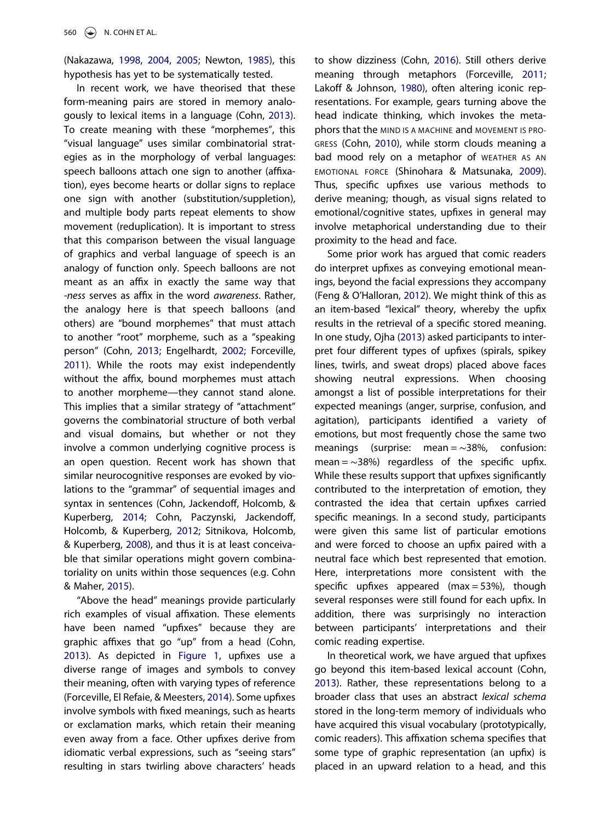<span id="page-1-0"></span>(Nakazawa, [1998,](#page-15-0) [2004,](#page-15-0) [2005](#page-15-0); Newton, [1985\)](#page-15-0), this hypothesis has yet to be systematically tested.

In recent work, we have theorised that these form-meaning pairs are stored in memory analogously to lexical items in a language (Cohn, [2013\)](#page-14-0). To create meaning with these "morphemes", this "visual language" uses similar combinatorial strategies as in the morphology of verbal languages: speech balloons attach one sign to another (affixation), eyes become hearts or dollar signs to replace one sign with another (substitution/suppletion), and multiple body parts repeat elements to show movement (reduplication). It is important to stress that this comparison between the visual language of graphics and verbal language of speech is an analogy of function only. Speech balloons are not meant as an affix in exactly the same way that -ness serves as affix in the word awareness. Rather, the analogy here is that speech balloons (and others) are "bound morphemes" that must attach to another "root" morpheme, such as a "speaking person" (Cohn, [2013](#page-14-0); Engelhardt, [2002;](#page-14-0) Forceville, [2011](#page-15-0)). While the roots may exist independently without the affix, bound morphemes must attach to another morpheme—they cannot stand alone. This implies that a similar strategy of "attachment" governs the combinatorial structure of both verbal and visual domains, but whether or not they involve a common underlying cognitive process is an open question. Recent work has shown that similar neurocognitive responses are evoked by violations to the "grammar" of sequential images and syntax in sentences (Cohn, Jackendoff, Holcomb, & Kuperberg, [2014](#page-14-0); Cohn, Paczynski, Jackendoff, Holcomb, & Kuperberg, [2012](#page-14-0); Sitnikova, Holcomb, & Kuperberg, [2008\)](#page-15-0), and thus it is at least conceivable that similar operations might govern combinatoriality on units within those sequences (e.g. Cohn & Maher, [2015](#page-14-0)).

"Above the head" meanings provide particularly rich examples of visual affixation. These elements have been named "upfixes" because they are graphic affixes that go "up" from a head (Cohn, [2013](#page-14-0)). As depicted in [Figure 1,](#page-2-0) upfixes use a diverse range of images and symbols to convey their meaning, often with varying types of reference (Forceville, El Refaie, & Meesters, [2014\)](#page-15-0). Some upfixes involve symbols with fixed meanings, such as hearts or exclamation marks, which retain their meaning even away from a face. Other upfixes derive from idiomatic verbal expressions, such as "seeing stars" resulting in stars twirling above characters' heads to show dizziness (Cohn, [2016\)](#page-14-0). Still others derive meaning through metaphors (Forceville, [2011;](#page-15-0) Lakoff & Johnson, [1980](#page-15-0)), often altering iconic representations. For example, gears turning above the head indicate thinking, which invokes the metaphors that the MIND IS A MACHINE and MOVEMENT IS PRO-GRESS (Cohn, [2010](#page-14-0)), while storm clouds meaning a bad mood rely on a metaphor of WEATHER AS AN EMOTIONAL FORCE (Shinohara & Matsunaka, [2009\)](#page-15-0). Thus, specific upfixes use various methods to derive meaning; though, as visual signs related to emotional/cognitive states, upfixes in general may involve metaphorical understanding due to their proximity to the head and face.

Some prior work has argued that comic readers do interpret upfixes as conveying emotional meanings, beyond the facial expressions they accompany (Feng & O'Halloran, [2012](#page-14-0)). We might think of this as an item-based "lexical" theory, whereby the upfix results in the retrieval of a specific stored meaning. In one study, Ojha ([2013](#page-15-0)) asked participants to interpret four different types of upfixes (spirals, spikey lines, twirls, and sweat drops) placed above faces showing neutral expressions. When choosing amongst a list of possible interpretations for their expected meanings (anger, surprise, confusion, and agitation), participants identified a variety of emotions, but most frequently chose the same two meanings (surprise: mean = ∼38%, confusion: mean =  $\sim$ 38%) regardless of the specific upfix. While these results support that upfixes significantly contributed to the interpretation of emotion, they contrasted the idea that certain upfixes carried specific meanings. In a second study, participants were given this same list of particular emotions and were forced to choose an upfix paired with a neutral face which best represented that emotion. Here, interpretations more consistent with the specific upfixes appeared (max = 53%), though several responses were still found for each upfix. In addition, there was surprisingly no interaction between participants' interpretations and their comic reading expertise.

In theoretical work, we have argued that upfixes go beyond this item-based lexical account (Cohn, [2013\)](#page-14-0). Rather, these representations belong to a broader class that uses an abstract lexical schema stored in the long-term memory of individuals who have acquired this visual vocabulary (prototypically, comic readers). This affixation schema specifies that some type of graphic representation (an upfix) is placed in an upward relation to a head, and this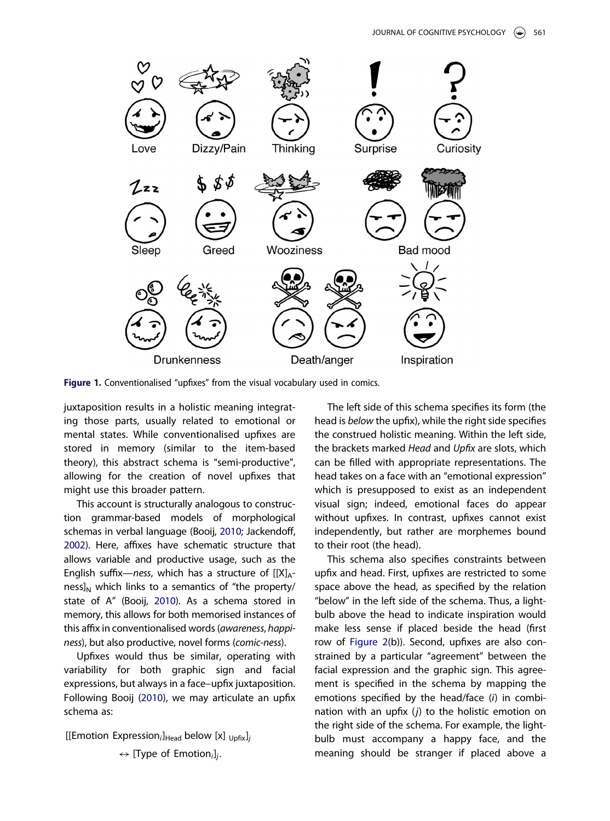<span id="page-2-0"></span>

Figure 1. Conventionalised "upfixes" from the visual vocabulary used in comics.

juxtaposition results in a holistic meaning integrating those parts, usually related to emotional or mental states. While conventionalised upfixes are stored in memory (similar to the item-based theory), this abstract schema is "semi-productive", allowing for the creation of novel upfixes that might use this broader pattern.

This account is structurally analogous to construction grammar-based models of morphological schemas in verbal language (Booij, [2010](#page-14-0); Jackendoff, [2002](#page-15-0)). Here, affixes have schematic structure that allows variable and productive usage, such as the English suffix—ness, which has a structure of  $[[X]_{A^-}$  $ness]_N$  which links to a semantics of "the property/ state of A" (Booij, [2010\)](#page-14-0). As a schema stored in memory, this allows for both memorised instances of this affix in conventionalised words (awareness, happiness), but also productive, novel forms (comic-ness).

Upfixes would thus be similar, operating with variability for both graphic sign and facial expressions, but always in a face–upfix juxtaposition. Following Booij [\(2010\)](#page-14-0), we may articulate an upfix schema as:

[[Emotion Expression<sub>i</sub>]<sub>Head</sub> below [x]  $_{Upfix}$ ]<sub>j</sub>

 $\leftrightarrow$  [Type of Emotion<sub>i</sub>],

The left side of this schema specifies its form (the head is below the upfix), while the right side specifies the construed holistic meaning. Within the left side, the brackets marked Head and Upfix are slots, which can be filled with appropriate representations. The head takes on a face with an "emotional expression" which is presupposed to exist as an independent visual sign; indeed, emotional faces do appear without upfixes. In contrast, upfixes cannot exist independently, but rather are morphemes bound to their root (the head).

This schema also specifies constraints between upfix and head. First, upfixes are restricted to some space above the head, as specified by the relation "below" in the left side of the schema. Thus, a lightbulb above the head to indicate inspiration would make less sense if placed beside the head (first row of [Figure 2](#page-3-0)(b)). Second, upfixes are also constrained by a particular "agreement" between the facial expression and the graphic sign. This agreement is specified in the schema by mapping the emotions specified by the head/face (i) in combination with an upfix  $(j)$  to the holistic emotion on the right side of the schema. For example, the lightbulb must accompany a happy face, and the meaning should be stranger if placed above a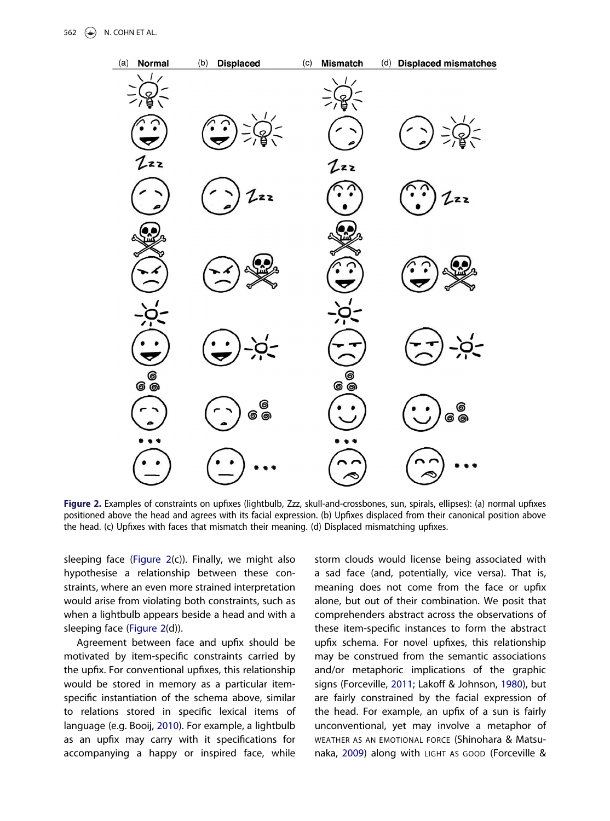<span id="page-3-0"></span>

Figure 2. Examples of constraints on upfixes (lightbulb, Zzz, skull-and-crossbones, sun, spirals, ellipses): (a) normal upfixes positioned above the head and agrees with its facial expression. (b) Upfixes displaced from their canonical position above the head. (c) Upfixes with faces that mismatch their meaning. (d) Displaced mismatching upfixes.

sleeping face (Figure 2(c)). Finally, we might also hypothesise a relationship between these constraints, where an even more strained interpretation would arise from violating both constraints, such as when a lightbulb appears beside a head and with a sleeping face (Figure 2(d)).

Agreement between face and upfix should be motivated by item-specific constraints carried by the upfix. For conventional upfixes, this relationship would be stored in memory as a particular itemspecific instantiation of the schema above, similar to relations stored in specific lexical items of language (e.g. Booij, [2010\)](#page-14-0). For example, a lightbulb as an upfix may carry with it specifications for accompanying a happy or inspired face, while

storm clouds would license being associated with a sad face (and, potentially, vice versa). That is, meaning does not come from the face or upfix alone, but out of their combination. We posit that comprehenders abstract across the observations of these item-specific instances to form the abstract upfix schema. For novel upfixes, this relationship may be construed from the semantic associations and/or metaphoric implications of the graphic signs (Forceville, [2011](#page-15-0); Lakoff & Johnson, [1980\)](#page-15-0), but are fairly constrained by the facial expression of the head. For example, an upfix of a sun is fairly unconventional, yet may involve a metaphor of WEATHER AS AN EMOTIONAL FORCE (Shinohara & Matsu-naka, [2009\)](#page-15-0) along with LIGHT AS GOOD (Forceville &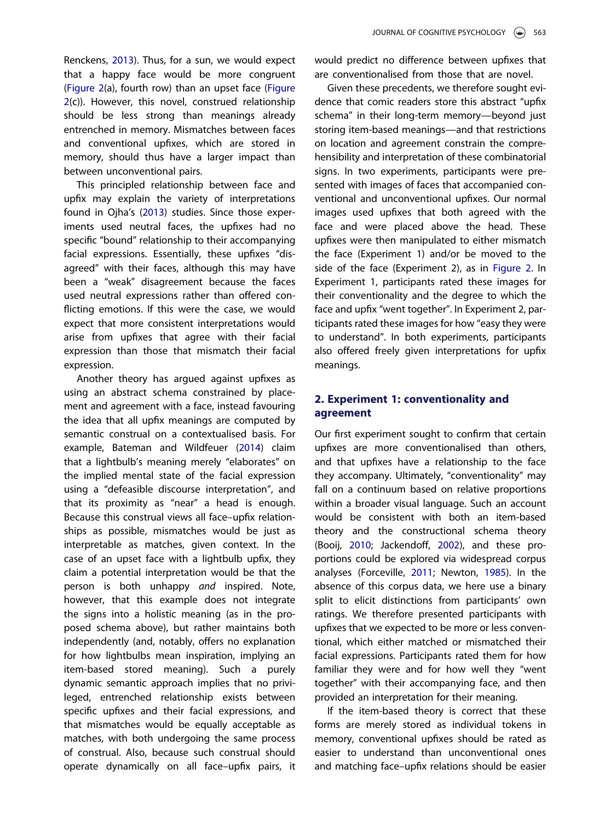<span id="page-4-0"></span>Renckens, [2013\)](#page-15-0). Thus, for a sun, we would expect that a happy face would be more congruent ([Figure 2\(](#page-3-0)a), fourth row) than an upset face [\(Figure](#page-3-0) [2](#page-3-0)(c)). However, this novel, construed relationship should be less strong than meanings already entrenched in memory. Mismatches between faces and conventional upfixes, which are stored in memory, should thus have a larger impact than between unconventional pairs.

This principled relationship between face and upfix may explain the variety of interpretations found in Ojha's ([2013](#page-15-0)) studies. Since those experiments used neutral faces, the upfixes had no specific "bound" relationship to their accompanying facial expressions. Essentially, these upfixes "disagreed" with their faces, although this may have been a "weak" disagreement because the faces used neutral expressions rather than offered conflicting emotions. If this were the case, we would expect that more consistent interpretations would arise from upfixes that agree with their facial expression than those that mismatch their facial expression.

Another theory has argued against upfixes as using an abstract schema constrained by placement and agreement with a face, instead favouring the idea that all upfix meanings are computed by semantic construal on a contextualised basis. For example, Bateman and Wildfeuer [\(2014\)](#page-14-0) claim that a lightbulb's meaning merely "elaborates" on the implied mental state of the facial expression using a "defeasible discourse interpretation", and that its proximity as "near" a head is enough. Because this construal views all face–upfix relationships as possible, mismatches would be just as interpretable as matches, given context. In the case of an upset face with a lightbulb upfix, they claim a potential interpretation would be that the person is both unhappy and inspired. Note, however, that this example does not integrate the signs into a holistic meaning (as in the proposed schema above), but rather maintains both independently (and, notably, offers no explanation for how lightbulbs mean inspiration, implying an item-based stored meaning). Such a purely dynamic semantic approach implies that no privileged, entrenched relationship exists between specific upfixes and their facial expressions, and that mismatches would be equally acceptable as matches, with both undergoing the same process of construal. Also, because such construal should operate dynamically on all face–upfix pairs, it would predict no difference between upfixes that are conventionalised from those that are novel.

Given these precedents, we therefore sought evidence that comic readers store this abstract "upfix schema" in their long-term memory—beyond just storing item-based meanings—and that restrictions on location and agreement constrain the comprehensibility and interpretation of these combinatorial signs. In two experiments, participants were presented with images of faces that accompanied conventional and unconventional upfixes. Our normal images used upfixes that both agreed with the face and were placed above the head. These upfixes were then manipulated to either mismatch the face (Experiment 1) and/or be moved to the side of the face (Experiment 2), as in [Figure 2.](#page-3-0) In Experiment 1, participants rated these images for their conventionality and the degree to which the face and upfix "went together". In Experiment 2, participants rated these images for how "easy they were to understand". In both experiments, participants also offered freely given interpretations for upfix meanings.

# 2. Experiment 1: conventionality and agreement

Our first experiment sought to confirm that certain upfixes are more conventionalised than others, and that upfixes have a relationship to the face they accompany. Ultimately, "conventionality" may fall on a continuum based on relative proportions within a broader visual language. Such an account would be consistent with both an item-based theory and the constructional schema theory (Booij, [2010](#page-14-0); Jackendoff, [2002](#page-15-0)), and these proportions could be explored via widespread corpus analyses (Forceville, [2011](#page-15-0); Newton, [1985](#page-15-0)). In the absence of this corpus data, we here use a binary split to elicit distinctions from participants' own ratings. We therefore presented participants with upfixes that we expected to be more or less conventional, which either matched or mismatched their facial expressions. Participants rated them for how familiar they were and for how well they "went together" with their accompanying face, and then provided an interpretation for their meaning.

If the item-based theory is correct that these forms are merely stored as individual tokens in memory, conventional upfixes should be rated as easier to understand than unconventional ones and matching face–upfix relations should be easier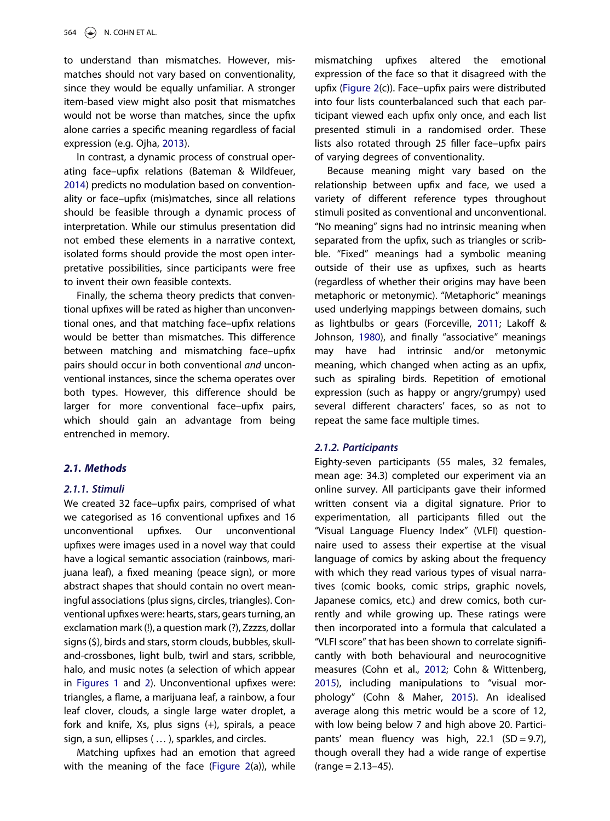<span id="page-5-0"></span>to understand than mismatches. However, mismatches should not vary based on conventionality, since they would be equally unfamiliar. A stronger item-based view might also posit that mismatches would not be worse than matches, since the upfix alone carries a specific meaning regardless of facial expression (e.g. Ojha, [2013\)](#page-15-0).

In contrast, a dynamic process of construal operating face–upfix relations (Bateman & Wildfeuer, [2014](#page-14-0)) predicts no modulation based on conventionality or face–upfix (mis)matches, since all relations should be feasible through a dynamic process of interpretation. While our stimulus presentation did not embed these elements in a narrative context, isolated forms should provide the most open interpretative possibilities, since participants were free to invent their own feasible contexts.

Finally, the schema theory predicts that conventional upfixes will be rated as higher than unconventional ones, and that matching face–upfix relations would be better than mismatches. This difference between matching and mismatching face–upfix pairs should occur in both conventional and unconventional instances, since the schema operates over both types. However, this difference should be larger for more conventional face–upfix pairs, which should gain an advantage from being entrenched in memory.

### 2.1. Methods

#### 2.1.1. Stimuli

We created 32 face–upfix pairs, comprised of what we categorised as 16 conventional upfixes and 16 unconventional upfixes. Our unconventional upfixes were images used in a novel way that could have a logical semantic association (rainbows, marijuana leaf), a fixed meaning (peace sign), or more abstract shapes that should contain no overt meaningful associations (plus signs, circles, triangles). Conventional upfixes were: hearts, stars, gears turning, an exclamation mark (!), a question mark (?), Zzzzs, dollar signs (\$), birds and stars, storm clouds, bubbles, skulland-crossbones, light bulb, twirl and stars, scribble, halo, and music notes (a selection of which appear in [Figures 1](#page-2-0) and [2](#page-3-0)). Unconventional upfixes were: triangles, a flame, a marijuana leaf, a rainbow, a four leaf clover, clouds, a single large water droplet, a fork and knife, Xs, plus signs (+), spirals, a peace sign, a sun, ellipses ( … ), sparkles, and circles.

Matching upfixes had an emotion that agreed with the meaning of the face [\(Figure 2](#page-3-0)(a)), while

mismatching upfixes altered the emotional expression of the face so that it disagreed with the upfix ([Figure 2\(](#page-3-0)c)). Face–upfix pairs were distributed into four lists counterbalanced such that each participant viewed each upfix only once, and each list presented stimuli in a randomised order. These lists also rotated through 25 filler face–upfix pairs of varying degrees of conventionality.

Because meaning might vary based on the relationship between upfix and face, we used a variety of different reference types throughout stimuli posited as conventional and unconventional. "No meaning" signs had no intrinsic meaning when separated from the upfix, such as triangles or scribble. "Fixed" meanings had a symbolic meaning outside of their use as upfixes, such as hearts (regardless of whether their origins may have been metaphoric or metonymic). "Metaphoric" meanings used underlying mappings between domains, such as lightbulbs or gears (Forceville, [2011;](#page-15-0) Lakoff & Johnson, [1980](#page-15-0)), and finally "associative" meanings may have had intrinsic and/or metonymic meaning, which changed when acting as an upfix, such as spiraling birds. Repetition of emotional expression (such as happy or angry/grumpy) used several different characters' faces, so as not to repeat the same face multiple times.

#### 2.1.2. Participants

Eighty-seven participants (55 males, 32 females, mean age: 34.3) completed our experiment via an online survey. All participants gave their informed written consent via a digital signature. Prior to experimentation, all participants filled out the "Visual Language Fluency Index" (VLFI) questionnaire used to assess their expertise at the visual language of comics by asking about the frequency with which they read various types of visual narratives (comic books, comic strips, graphic novels, Japanese comics, etc.) and drew comics, both currently and while growing up. These ratings were then incorporated into a formula that calculated a "VLFI score" that has been shown to correlate significantly with both behavioural and neurocognitive measures (Cohn et al., [2012;](#page-14-0) Cohn & Wittenberg, [2015\)](#page-14-0), including manipulations to "visual morphology" (Cohn & Maher, [2015\)](#page-14-0). An idealised average along this metric would be a score of 12, with low being below 7 and high above 20. Participants' mean fluency was high,  $22.1$  (SD = 9.7), though overall they had a wide range of expertise (range = 2.13–45).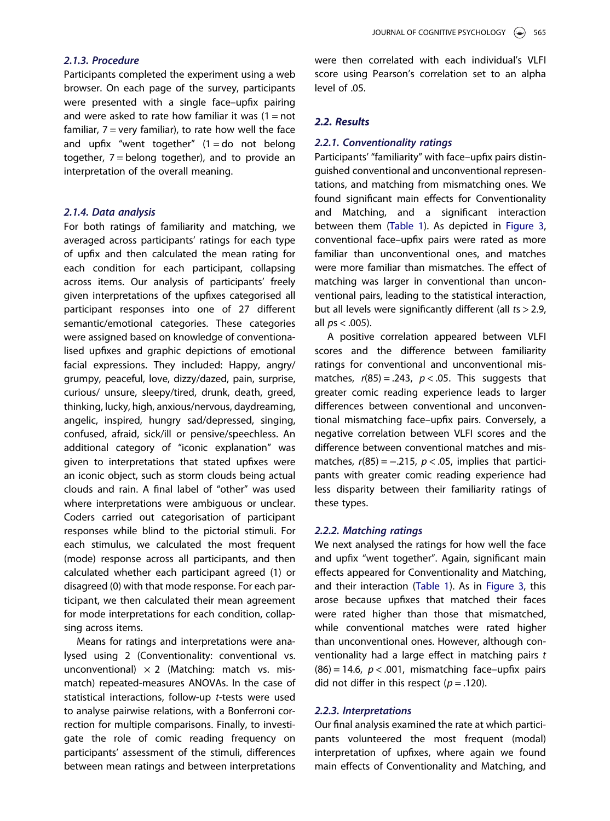### 2.1.3. Procedure

Participants completed the experiment using a web browser. On each page of the survey, participants were presented with a single face–upfix pairing and were asked to rate how familiar it was  $(1 = not$ familiar,  $7 =$  very familiar), to rate how well the face and upfix "went together"  $(1 = do not belong$ together,  $7 =$  belong together), and to provide an interpretation of the overall meaning.

#### 2.1.4. Data analysis

For both ratings of familiarity and matching, we averaged across participants' ratings for each type of upfix and then calculated the mean rating for each condition for each participant, collapsing across items. Our analysis of participants' freely given interpretations of the upfixes categorised all participant responses into one of 27 different semantic/emotional categories. These categories were assigned based on knowledge of conventionalised upfixes and graphic depictions of emotional facial expressions. They included: Happy, angry/ grumpy, peaceful, love, dizzy/dazed, pain, surprise, curious/ unsure, sleepy/tired, drunk, death, greed, thinking, lucky, high, anxious/nervous, daydreaming, angelic, inspired, hungry sad/depressed, singing, confused, afraid, sick/ill or pensive/speechless. An additional category of "iconic explanation" was given to interpretations that stated upfixes were an iconic object, such as storm clouds being actual clouds and rain. A final label of "other" was used where interpretations were ambiguous or unclear. Coders carried out categorisation of participant responses while blind to the pictorial stimuli. For each stimulus, we calculated the most frequent (mode) response across all participants, and then calculated whether each participant agreed (1) or disagreed (0) with that mode response. For each participant, we then calculated their mean agreement for mode interpretations for each condition, collapsing across items.

Means for ratings and interpretations were analysed using 2 (Conventionality: conventional vs. unconventional)  $\times$  2 (Matching: match vs. mismatch) repeated-measures ANOVAs. In the case of statistical interactions, follow-up t-tests were used to analyse pairwise relations, with a Bonferroni correction for multiple comparisons. Finally, to investigate the role of comic reading frequency on participants' assessment of the stimuli, differences between mean ratings and between interpretations

were then correlated with each individual's VLFI score using Pearson's correlation set to an alpha level of .05.

### 2.2. Results

### 2.2.1. Conventionality ratings

Participants' "familiarity" with face–upfix pairs distinguished conventional and unconventional representations, and matching from mismatching ones. We found significant main effects for Conventionality and Matching, and a significant interaction between them ([Table 1\)](#page-7-0). As depicted in [Figure 3,](#page-7-0) conventional face–upfix pairs were rated as more familiar than unconventional ones, and matches were more familiar than mismatches. The effect of matching was larger in conventional than unconventional pairs, leading to the statistical interaction, but all levels were significantly different (all ts > 2.9, all  $ps < .005$ ).

A positive correlation appeared between VLFI scores and the difference between familiarity ratings for conventional and unconventional mismatches,  $r(85) = .243$ ,  $p < .05$ . This suggests that greater comic reading experience leads to larger differences between conventional and unconventional mismatching face–upfix pairs. Conversely, a negative correlation between VLFI scores and the difference between conventional matches and mismatches,  $r(85) = -.215$ ,  $p < .05$ , implies that participants with greater comic reading experience had less disparity between their familiarity ratings of these types.

### 2.2.2. Matching ratings

We next analysed the ratings for how well the face and upfix "went together". Again, significant main effects appeared for Conventionality and Matching, and their interaction [\(Table 1\)](#page-7-0). As in [Figure 3,](#page-7-0) this arose because upfixes that matched their faces were rated higher than those that mismatched, while conventional matches were rated higher than unconventional ones. However, although conventionality had a large effect in matching pairs t  $(86) = 14.6$ ,  $p < .001$ , mismatching face-upfix pairs did not differ in this respect ( $p = .120$ ).

#### 2.2.3. Interpretations

Our final analysis examined the rate at which participants volunteered the most frequent (modal) interpretation of upfixes, where again we found main effects of Conventionality and Matching, and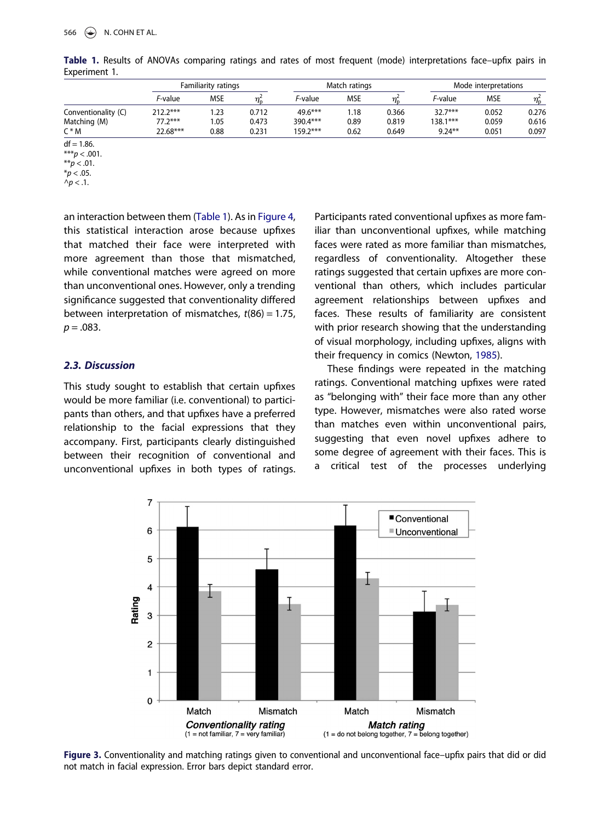|                           |            | Familiarity ratings |                       |            | Match ratings |                            | Mode interpretations |       |                                                                   |
|---------------------------|------------|---------------------|-----------------------|------------|---------------|----------------------------|----------------------|-------|-------------------------------------------------------------------|
|                           | F-value    | <b>MSE</b>          | $\mathbf{m}^2$<br>'/n | F-value    | MSE           | $\eta_{\sf n}^{\sf \star}$ | F-value              | MSE   | $\eta_{\scriptscriptstyle \mathrm{D}}^{\scriptscriptstyle \star}$ |
| Conventionality (C)       | $212.2***$ | 1.23                | 0.712                 | 49.6***    | 1.18          | 0.366                      | $32.7***$            | 0.052 | 0.276                                                             |
| Matching (M)              | 77.2***    | 1.05                | 0.473                 | 390.4***   | 0.89          | 0.819                      | 138.1***             | 0.059 | 0.616                                                             |
| $C^*M$                    | 22.68***   | 0.88                | 0.231                 | $159.2***$ | 0.62          | 0.649                      | $9.24***$            | 0.051 | 0.097                                                             |
| $\mathbf{r}$ $\mathbf{r}$ |            |                     |                       |            |               |                            |                      |       |                                                                   |

<span id="page-7-0"></span>

|               |  |  |  |  |  |  | Table 1. Results of ANOVAs comparing ratings and rates of most frequent (mode) interpretations face-upfix pairs in |  |  |
|---------------|--|--|--|--|--|--|--------------------------------------------------------------------------------------------------------------------|--|--|
| Experiment 1. |  |  |  |  |  |  |                                                                                                                    |  |  |

 $df = 1.86$ . \*\*\* $p < .001$ . \*\* $p < .01$ .

 $*_{p}$  < .05.

 $\land p < .1$ .

an interaction between them (Table 1). As in [Figure 4](#page-8-0), this statistical interaction arose because upfixes that matched their face were interpreted with more agreement than those that mismatched, while conventional matches were agreed on more than unconventional ones. However, only a trending significance suggested that conventionality differed between interpretation of mismatches,  $t(86) = 1.75$ ,  $p = .083$ .

### 2.3. Discussion

This study sought to establish that certain upfixes would be more familiar (i.e. conventional) to participants than others, and that upfixes have a preferred relationship to the facial expressions that they accompany. First, participants clearly distinguished between their recognition of conventional and unconventional upfixes in both types of ratings. Participants rated conventional upfixes as more familiar than unconventional upfixes, while matching faces were rated as more familiar than mismatches, regardless of conventionality. Altogether these ratings suggested that certain upfixes are more conventional than others, which includes particular agreement relationships between upfixes and faces. These results of familiarity are consistent with prior research showing that the understanding of visual morphology, including upfixes, aligns with their frequency in comics (Newton, [1985\)](#page-15-0).

These findings were repeated in the matching ratings. Conventional matching upfixes were rated as "belonging with" their face more than any other type. However, mismatches were also rated worse than matches even within unconventional pairs, suggesting that even novel upfixes adhere to some degree of agreement with their faces. This is a critical test of the processes underlying



Figure 3. Conventionality and matching ratings given to conventional and unconventional face–upfix pairs that did or did not match in facial expression. Error bars depict standard error.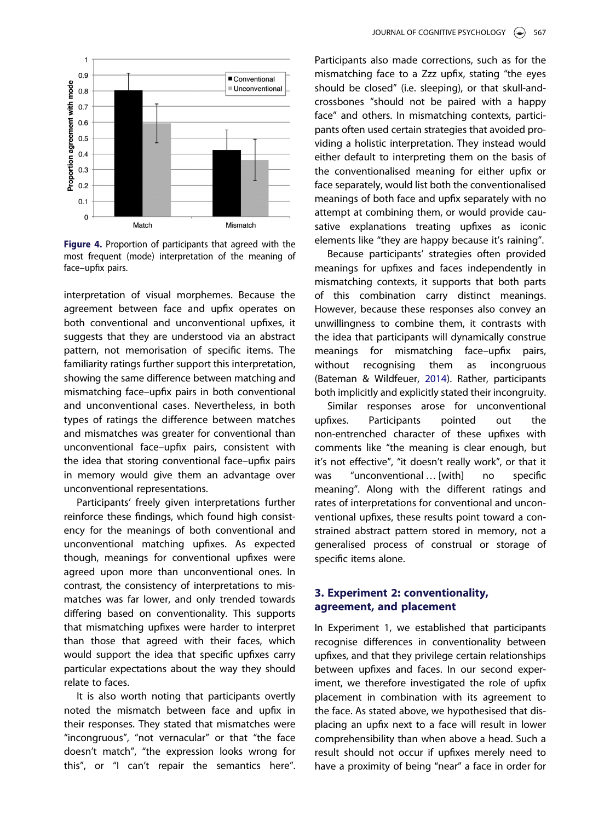<span id="page-8-0"></span>

Figure 4. Proportion of participants that agreed with the most frequent (mode) interpretation of the meaning of face–upfix pairs.

interpretation of visual morphemes. Because the agreement between face and upfix operates on both conventional and unconventional upfixes, it suggests that they are understood via an abstract pattern, not memorisation of specific items. The familiarity ratings further support this interpretation, showing the same difference between matching and mismatching face–upfix pairs in both conventional and unconventional cases. Nevertheless, in both types of ratings the difference between matches and mismatches was greater for conventional than unconventional face–upfix pairs, consistent with the idea that storing conventional face–upfix pairs in memory would give them an advantage over unconventional representations.

Participants' freely given interpretations further reinforce these findings, which found high consistency for the meanings of both conventional and unconventional matching upfixes. As expected though, meanings for conventional upfixes were agreed upon more than unconventional ones. In contrast, the consistency of interpretations to mismatches was far lower, and only trended towards differing based on conventionality. This supports that mismatching upfixes were harder to interpret than those that agreed with their faces, which would support the idea that specific upfixes carry particular expectations about the way they should relate to faces.

It is also worth noting that participants overtly noted the mismatch between face and upfix in their responses. They stated that mismatches were "incongruous", "not vernacular" or that "the face doesn't match", "the expression looks wrong for this", or "I can't repair the semantics here".

Participants also made corrections, such as for the mismatching face to a Zzz upfix, stating "the eyes should be closed" (i.e. sleeping), or that skull-andcrossbones "should not be paired with a happy face" and others. In mismatching contexts, participants often used certain strategies that avoided providing a holistic interpretation. They instead would either default to interpreting them on the basis of the conventionalised meaning for either upfix or face separately, would list both the conventionalised meanings of both face and upfix separately with no attempt at combining them, or would provide causative explanations treating upfixes as iconic elements like "they are happy because it's raining".

Because participants' strategies often provided meanings for upfixes and faces independently in mismatching contexts, it supports that both parts of this combination carry distinct meanings. However, because these responses also convey an unwillingness to combine them, it contrasts with the idea that participants will dynamically construe meanings for mismatching face–upfix pairs, without recognising them as incongruous (Bateman & Wildfeuer, [2014](#page-14-0)). Rather, participants both implicitly and explicitly stated their incongruity.

Similar responses arose for unconventional upfixes. Participants pointed out the non-entrenched character of these upfixes with comments like "the meaning is clear enough, but it's not effective", "it doesn't really work", or that it was "unconventional ... [with] no specific meaning". Along with the different ratings and rates of interpretations for conventional and unconventional upfixes, these results point toward a constrained abstract pattern stored in memory, not a generalised process of construal or storage of specific items alone.

### 3. Experiment 2: conventionality, agreement, and placement

In Experiment 1, we established that participants recognise differences in conventionality between upfixes, and that they privilege certain relationships between upfixes and faces. In our second experiment, we therefore investigated the role of upfix placement in combination with its agreement to the face. As stated above, we hypothesised that displacing an upfix next to a face will result in lower comprehensibility than when above a head. Such a result should not occur if upfixes merely need to have a proximity of being "near" a face in order for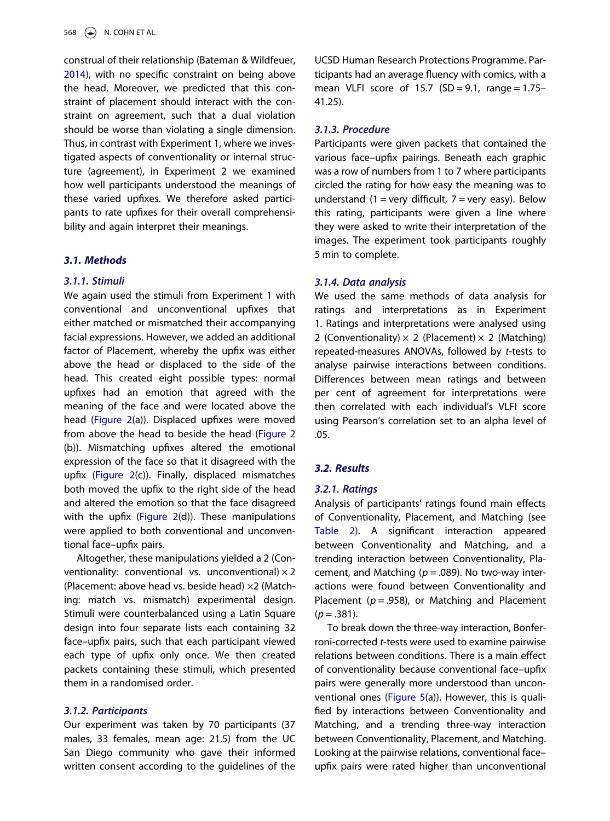construal of their relationship (Bateman & Wildfeuer, [2014](#page-14-0)), with no specific constraint on being above the head. Moreover, we predicted that this constraint of placement should interact with the constraint on agreement, such that a dual violation should be worse than violating a single dimension. Thus, in contrast with Experiment 1, where we investigated aspects of conventionality or internal structure (agreement), in Experiment 2 we examined how well participants understood the meanings of these varied upfixes. We therefore asked participants to rate upfixes for their overall comprehensibility and again interpret their meanings.

### 3.1. Methods

### 3.1.1. Stimuli

We again used the stimuli from Experiment 1 with conventional and unconventional upfixes that either matched or mismatched their accompanying facial expressions. However, we added an additional factor of Placement, whereby the upfix was either above the head or displaced to the side of the head. This created eight possible types: normal upfixes had an emotion that agreed with the meaning of the face and were located above the head [\(Figure 2](#page-3-0)(a)). Displaced upfixes were moved from above the head to beside the head [\(Figure 2](#page-3-0) (b)). Mismatching upfixes altered the emotional expression of the face so that it disagreed with the upfix [\(Figure 2\(](#page-3-0)c)). Finally, displaced mismatches both moved the upfix to the right side of the head and altered the emotion so that the face disagreed with the upfix ([Figure 2](#page-3-0)(d)). These manipulations were applied to both conventional and unconventional face–upfix pairs.

Altogether, these manipulations yielded a 2 (Conventionality: conventional vs. unconventional)  $\times$  2 (Placement: above head vs. beside head) ×2 (Matching: match vs. mismatch) experimental design. Stimuli were counterbalanced using a Latin Square design into four separate lists each containing 32 face–upfix pairs, such that each participant viewed each type of upfix only once. We then created packets containing these stimuli, which presented them in a randomised order.

### 3.1.2. Participants

Our experiment was taken by 70 participants (37 males, 33 females, mean age: 21.5) from the UC San Diego community who gave their informed written consent according to the guidelines of the

UCSD Human Research Protections Programme. Participants had an average fluency with comics, with a mean VLFI score of 15.7 (SD =  $9.1$ , range =  $1.75-$ 41.25).

### 3.1.3. Procedure

Participants were given packets that contained the various face–upfix pairings. Beneath each graphic was a row of numbers from 1 to 7 where participants circled the rating for how easy the meaning was to understand  $(1 = \text{very difficult}, 7 = \text{very easy})$ . Below this rating, participants were given a line where they were asked to write their interpretation of the images. The experiment took participants roughly 5 min to complete.

#### 3.1.4. Data analysis

We used the same methods of data analysis for ratings and interpretations as in Experiment 1. Ratings and interpretations were analysed using 2 (Conventionality)  $\times$  2 (Placement)  $\times$  2 (Matching) repeated-measures ANOVAs, followed by t-tests to analyse pairwise interactions between conditions. Differences between mean ratings and between per cent of agreement for interpretations were then correlated with each individual's VLFI score using Pearson's correlation set to an alpha level of .05.

# 3.2. Results

#### 3.2.1. Ratings

Analysis of participants' ratings found main effects of Conventionality, Placement, and Matching (see [Table 2](#page-10-0)). A significant interaction appeared between Conventionality and Matching, and a trending interaction between Conventionality, Placement, and Matching ( $p = .089$ ). No two-way interactions were found between Conventionality and Placement ( $p = .958$ ), or Matching and Placement  $(p = .381)$ .

To break down the three-way interaction, Bonferroni-corrected t-tests were used to examine pairwise relations between conditions. There is a main effect of conventionality because conventional face–upfix pairs were generally more understood than unconventional ones [\(Figure 5](#page-11-0)(a)). However, this is qualified by interactions between Conventionality and Matching, and a trending three-way interaction between Conventionality, Placement, and Matching. Looking at the pairwise relations, conventional face– upfix pairs were rated higher than unconventional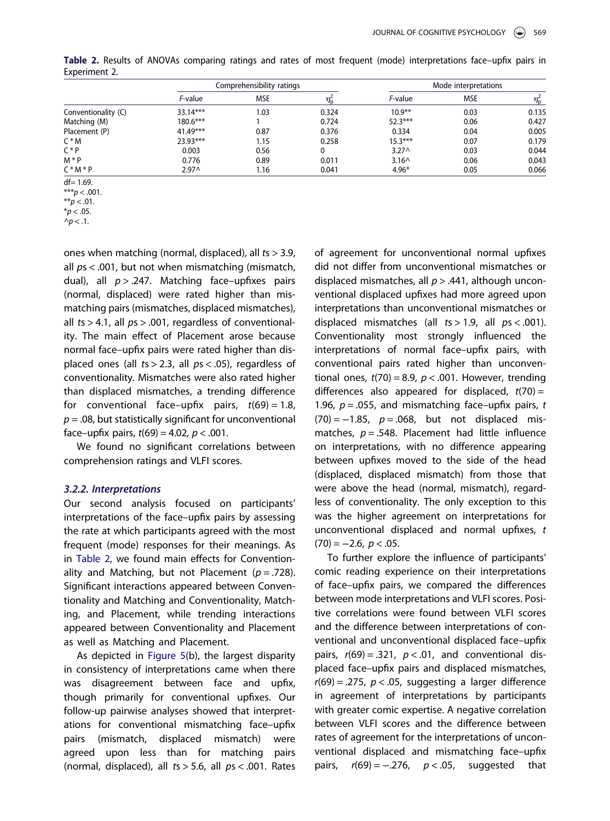|                     |                   | Comprehensibility ratings | Mode interpretations |           |            |                           |
|---------------------|-------------------|---------------------------|----------------------|-----------|------------|---------------------------|
|                     | F-value           | <b>MSE</b>                |                      | F-value   | <b>MSE</b> | $\eta_{\text{D}}^{\star}$ |
| Conventionality (C) | $33.14***$        | 1.03                      | 0.324                | $10.9***$ | 0.03       | 0.135                     |
| Matching (M)        | $180.6***$        |                           | 0.724                | $52.3***$ | 0.06       | 0.427                     |
| Placement (P)       | $41.49***$        | 0.87                      | 0.376                | 0.334     | 0.04       | 0.005                     |
| $C^*M$              | 23.93***          | 1.15                      | 0.258                | $15.3***$ | 0.07       | 0.179                     |
| $C*P$               | 0.003             | 0.56                      | 0                    | $3.27^$   | 0.03       | 0.044                     |
| $M * P$             | 0.776             | 0.89                      | 0.011                | $3.16^$   | 0.06       | 0.043                     |
| $C * M * P$         | 2.97 <sub>0</sub> | 1.16                      | 0.041                | $4.96*$   | 0.05       | 0.066                     |

<span id="page-10-0"></span>Table 2. Results of ANOVAs comparing ratings and rates of most frequent (mode) interpretations face–upfix pairs in Experiment 2.

ones when matching (normal, displaced), all ts > 3.9, all ps < .001, but not when mismatching (mismatch, dual), all  $p > 0.247$ . Matching face-upfixes pairs (normal, displaced) were rated higher than mismatching pairs (mismatches, displaced mismatches), all  $ts > 4.1$ , all  $ps > .001$ , regardless of conventionality. The main effect of Placement arose because normal face–upfix pairs were rated higher than displaced ones (all  $ts > 2.3$ , all  $ps < .05$ ), regardless of conventionality. Mismatches were also rated higher than displaced mismatches, a trending difference for conventional face–upfix pairs,  $t(69) = 1.8$ ,  $p = 0.08$ , but statistically significant for unconventional face–upfix pairs,  $t(69) = 4.02$ ,  $p < .001$ .

We found no significant correlations between comprehension ratings and VLFI scores.

### 3.2.2. Interpretations

Our second analysis focused on participants' interpretations of the face–upfix pairs by assessing the rate at which participants agreed with the most frequent (mode) responses for their meanings. As in Table 2, we found main effects for Conventionality and Matching, but not Placement ( $p = .728$ ). Significant interactions appeared between Conventionality and Matching and Conventionality, Matching, and Placement, while trending interactions appeared between Conventionality and Placement as well as Matching and Placement.

As depicted in [Figure 5](#page-11-0)(b), the largest disparity in consistency of interpretations came when there was disagreement between face and upfix, though primarily for conventional upfixes. Our follow-up pairwise analyses showed that interpretations for conventional mismatching face–upfix pairs (mismatch, displaced mismatch) were agreed upon less than for matching pairs (normal, displaced), all  $ts > 5.6$ , all  $ps < .001$ . Rates of agreement for unconventional normal upfixes did not differ from unconventional mismatches or displaced mismatches, all  $p > .441$ , although unconventional displaced upfixes had more agreed upon interpretations than unconventional mismatches or displaced mismatches (all  $ts > 1.9$ , all  $ps < .001$ ). Conventionality most strongly influenced the interpretations of normal face–upfix pairs, with conventional pairs rated higher than unconventional ones,  $t(70) = 8.9$ ,  $p < .001$ . However, trending differences also appeared for displaced,  $t(70) =$ 1.96,  $p = 0.055$ , and mismatching face–upfix pairs, t  $(70) = -1.85$ ,  $p = .068$ , but not displaced mismatches,  $p = 0.548$ . Placement had little influence on interpretations, with no difference appearing between upfixes moved to the side of the head (displaced, displaced mismatch) from those that were above the head (normal, mismatch), regardless of conventionality. The only exception to this was the higher agreement on interpretations for unconventional displaced and normal upfixes, t  $(70) = -2.6$ ,  $p < .05$ .

To further explore the influence of participants' comic reading experience on their interpretations of face–upfix pairs, we compared the differences between mode interpretations and VLFI scores. Positive correlations were found between VLFI scores and the difference between interpretations of conventional and unconventional displaced face–upfix pairs,  $r(69) = .321$ ,  $p < .01$ , and conventional displaced face–upfix pairs and displaced mismatches,  $r(69) = .275$ ,  $p < .05$ , suggesting a larger difference in agreement of interpretations by participants with greater comic expertise. A negative correlation between VLFI scores and the difference between rates of agreement for the interpretations of unconventional displaced and mismatching face–upfix pairs,  $r(69) = -.276$ ,  $p < .05$ , suggested that

df= 1.69.

<sup>\*\*\*</sup> $p < .001$ .

<sup>\*\*</sup> $p < .01$ .  $*$ *p* < .05.

 $\wedge p < .1$ .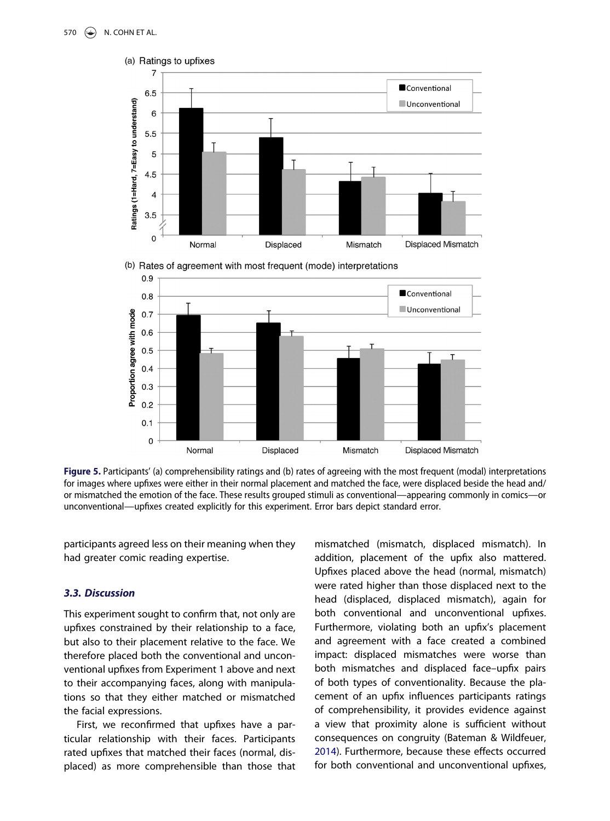<span id="page-11-0"></span>





Figure 5. Participants' (a) comprehensibility ratings and (b) rates of agreeing with the most frequent (modal) interpretations for images where upfixes were either in their normal placement and matched the face, were displaced beside the head and/ or mismatched the emotion of the face. These results grouped stimuli as conventional—appearing commonly in comics—or unconventional—upfixes created explicitly for this experiment. Error bars depict standard error.

participants agreed less on their meaning when they had greater comic reading expertise.

### 3.3. Discussion

This experiment sought to confirm that, not only are upfixes constrained by their relationship to a face, but also to their placement relative to the face. We therefore placed both the conventional and unconventional upfixes from Experiment 1 above and next to their accompanying faces, along with manipulations so that they either matched or mismatched the facial expressions.

First, we reconfirmed that upfixes have a particular relationship with their faces. Participants rated upfixes that matched their faces (normal, displaced) as more comprehensible than those that mismatched (mismatch, displaced mismatch). In addition, placement of the upfix also mattered. Upfixes placed above the head (normal, mismatch) were rated higher than those displaced next to the head (displaced, displaced mismatch), again for both conventional and unconventional upfixes. Furthermore, violating both an upfix's placement and agreement with a face created a combined impact: displaced mismatches were worse than both mismatches and displaced face–upfix pairs of both types of conventionality. Because the placement of an upfix influences participants ratings of comprehensibility, it provides evidence against a view that proximity alone is sufficient without consequences on congruity (Bateman & Wildfeuer, [2014\)](#page-14-0). Furthermore, because these effects occurred for both conventional and unconventional upfixes,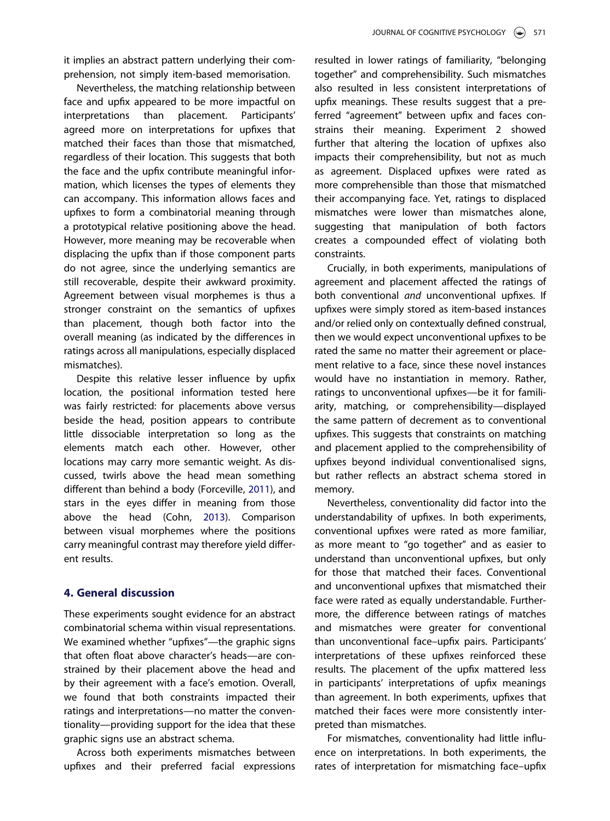it implies an abstract pattern underlying their comprehension, not simply item-based memorisation.

Nevertheless, the matching relationship between face and upfix appeared to be more impactful on interpretations than placement. Participants' agreed more on interpretations for upfixes that matched their faces than those that mismatched, regardless of their location. This suggests that both the face and the upfix contribute meaningful information, which licenses the types of elements they can accompany. This information allows faces and upfixes to form a combinatorial meaning through a prototypical relative positioning above the head. However, more meaning may be recoverable when displacing the upfix than if those component parts do not agree, since the underlying semantics are still recoverable, despite their awkward proximity. Agreement between visual morphemes is thus a stronger constraint on the semantics of upfixes than placement, though both factor into the overall meaning (as indicated by the differences in ratings across all manipulations, especially displaced mismatches).

Despite this relative lesser influence by upfix location, the positional information tested here was fairly restricted: for placements above versus beside the head, position appears to contribute little dissociable interpretation so long as the elements match each other. However, other locations may carry more semantic weight. As discussed, twirls above the head mean something different than behind a body (Forceville, [2011\)](#page-15-0), and stars in the eyes differ in meaning from those above the head (Cohn, [2013](#page-14-0)). Comparison between visual morphemes where the positions carry meaningful contrast may therefore yield different results.

### 4. General discussion

These experiments sought evidence for an abstract combinatorial schema within visual representations. We examined whether "upfixes"—the graphic signs that often float above character's heads—are constrained by their placement above the head and by their agreement with a face's emotion. Overall, we found that both constraints impacted their ratings and interpretations—no matter the conventionality—providing support for the idea that these graphic signs use an abstract schema.

Across both experiments mismatches between upfixes and their preferred facial expressions

resulted in lower ratings of familiarity, "belonging together" and comprehensibility. Such mismatches also resulted in less consistent interpretations of upfix meanings. These results suggest that a preferred "agreement" between upfix and faces constrains their meaning. Experiment 2 showed further that altering the location of upfixes also impacts their comprehensibility, but not as much as agreement. Displaced upfixes were rated as more comprehensible than those that mismatched their accompanying face. Yet, ratings to displaced mismatches were lower than mismatches alone, suggesting that manipulation of both factors creates a compounded effect of violating both constraints.

Crucially, in both experiments, manipulations of agreement and placement affected the ratings of both conventional *and* unconventional upfixes. If upfixes were simply stored as item-based instances and/or relied only on contextually defined construal, then we would expect unconventional upfixes to be rated the same no matter their agreement or placement relative to a face, since these novel instances would have no instantiation in memory. Rather, ratings to unconventional upfixes—be it for familiarity, matching, or comprehensibility—displayed the same pattern of decrement as to conventional upfixes. This suggests that constraints on matching and placement applied to the comprehensibility of upfixes beyond individual conventionalised signs, but rather reflects an abstract schema stored in memory.

Nevertheless, conventionality did factor into the understandability of upfixes. In both experiments, conventional upfixes were rated as more familiar, as more meant to "go together" and as easier to understand than unconventional upfixes, but only for those that matched their faces. Conventional and unconventional upfixes that mismatched their face were rated as equally understandable. Furthermore, the difference between ratings of matches and mismatches were greater for conventional than unconventional face–upfix pairs. Participants' interpretations of these upfixes reinforced these results. The placement of the upfix mattered less in participants' interpretations of upfix meanings than agreement. In both experiments, upfixes that matched their faces were more consistently interpreted than mismatches.

For mismatches, conventionality had little influence on interpretations. In both experiments, the rates of interpretation for mismatching face–upfix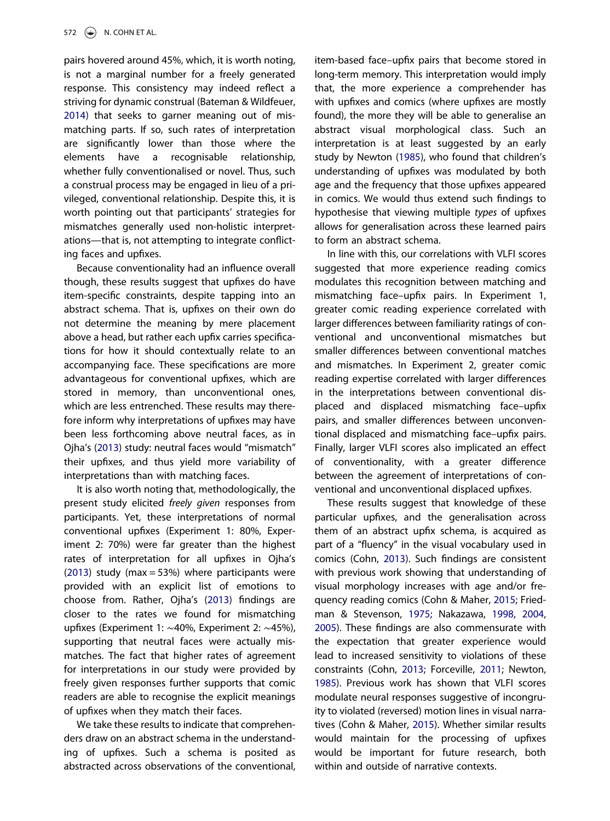pairs hovered around 45%, which, it is worth noting, is not a marginal number for a freely generated response. This consistency may indeed reflect a striving for dynamic construal (Bateman & Wildfeuer, [2014](#page-14-0)) that seeks to garner meaning out of mismatching parts. If so, such rates of interpretation are significantly lower than those where the elements have a recognisable relationship, whether fully conventionalised or novel. Thus, such a construal process may be engaged in lieu of a privileged, conventional relationship. Despite this, it is worth pointing out that participants' strategies for mismatches generally used non-holistic interpretations—that is, not attempting to integrate conflicting faces and upfixes.

Because conventionality had an influence overall though, these results suggest that upfixes do have item-specific constraints, despite tapping into an abstract schema. That is, upfixes on their own do not determine the meaning by mere placement above a head, but rather each upfix carries specifications for how it should contextually relate to an accompanying face. These specifications are more advantageous for conventional upfixes, which are stored in memory, than unconventional ones, which are less entrenched. These results may therefore inform why interpretations of upfixes may have been less forthcoming above neutral faces, as in Ojha's [\(2013\)](#page-15-0) study: neutral faces would "mismatch" their upfixes, and thus yield more variability of interpretations than with matching faces.

It is also worth noting that, methodologically, the present study elicited freely given responses from participants. Yet, these interpretations of normal conventional upfixes (Experiment 1: 80%, Experiment 2: 70%) were far greater than the highest rates of interpretation for all upfixes in Ojha's ([2013](#page-15-0)) study (max = 53%) where participants were provided with an explicit list of emotions to choose from. Rather, Ojha's ([2013](#page-15-0)) findings are closer to the rates we found for mismatching upfixes (Experiment 1: ∼40%, Experiment 2: ∼45%), supporting that neutral faces were actually mismatches. The fact that higher rates of agreement for interpretations in our study were provided by freely given responses further supports that comic readers are able to recognise the explicit meanings of upfixes when they match their faces.

We take these results to indicate that comprehenders draw on an abstract schema in the understanding of upfixes. Such a schema is posited as abstracted across observations of the conventional,

item-based face–upfix pairs that become stored in long-term memory. This interpretation would imply that, the more experience a comprehender has with upfixes and comics (where upfixes are mostly found), the more they will be able to generalise an abstract visual morphological class. Such an interpretation is at least suggested by an early study by Newton [\(1985\)](#page-15-0), who found that children's understanding of upfixes was modulated by both age and the frequency that those upfixes appeared in comics. We would thus extend such findings to hypothesise that viewing multiple types of upfixes allows for generalisation across these learned pairs to form an abstract schema.

In line with this, our correlations with VLFI scores suggested that more experience reading comics modulates this recognition between matching and mismatching face–upfix pairs. In Experiment 1, greater comic reading experience correlated with larger differences between familiarity ratings of conventional and unconventional mismatches but smaller differences between conventional matches and mismatches. In Experiment 2, greater comic reading expertise correlated with larger differences in the interpretations between conventional displaced and displaced mismatching face–upfix pairs, and smaller differences between unconventional displaced and mismatching face–upfix pairs. Finally, larger VLFI scores also implicated an effect of conventionality, with a greater difference between the agreement of interpretations of conventional and unconventional displaced upfixes.

These results suggest that knowledge of these particular upfixes, and the generalisation across them of an abstract upfix schema, is acquired as part of a "fluency" in the visual vocabulary used in comics (Cohn, [2013\)](#page-14-0). Such findings are consistent with previous work showing that understanding of visual morphology increases with age and/or frequency reading comics (Cohn & Maher, [2015;](#page-14-0) Friedman & Stevenson, [1975;](#page-15-0) Nakazawa, [1998](#page-15-0), [2004,](#page-15-0) [2005\)](#page-15-0). These findings are also commensurate with the expectation that greater experience would lead to increased sensitivity to violations of these constraints (Cohn, [2013;](#page-14-0) Forceville, [2011;](#page-15-0) Newton, [1985\)](#page-15-0). Previous work has shown that VLFI scores modulate neural responses suggestive of incongruity to violated (reversed) motion lines in visual narratives (Cohn & Maher, [2015\)](#page-14-0). Whether similar results would maintain for the processing of upfixes would be important for future research, both within and outside of narrative contexts.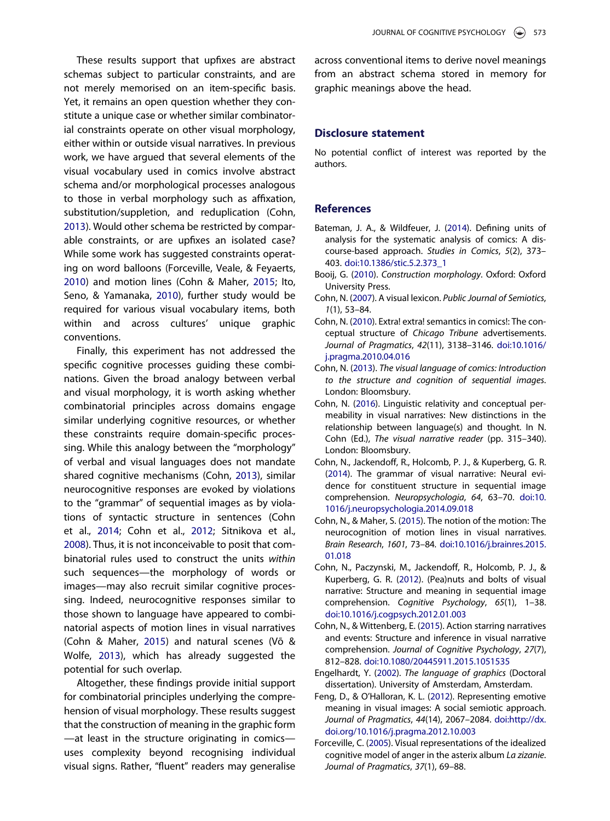<span id="page-14-0"></span>These results support that upfixes are abstract schemas subject to particular constraints, and are not merely memorised on an item-specific basis. Yet, it remains an open question whether they constitute a unique case or whether similar combinatorial constraints operate on other visual morphology, either within or outside visual narratives. In previous work, we have argued that several elements of the visual vocabulary used in comics involve abstract schema and/or morphological processes analogous to those in verbal morphology such as affixation, substitution/suppletion, and reduplication (Cohn, 2013). Would other schema be restricted by comparable constraints, or are upfixes an isolated case? While some work has suggested constraints operating on word balloons (Forceville, Veale, & Feyaerts, [2010](#page-15-0)) and motion lines (Cohn & Maher, 2015; Ito, Seno, & Yamanaka, [2010](#page-15-0)), further study would be required for various visual vocabulary items, both within and across cultures' unique graphic conventions.

Finally, this experiment has not addressed the specific cognitive processes guiding these combinations. Given the broad analogy between verbal and visual morphology, it is worth asking whether combinatorial principles across domains engage similar underlying cognitive resources, or whether these constraints require domain-specific processing. While this analogy between the "morphology" of verbal and visual languages does not mandate shared cognitive mechanisms (Cohn, 2013), similar neurocognitive responses are evoked by violations to the "grammar" of sequential images as by violations of syntactic structure in sentences (Cohn et al., 2014; Cohn et al., 2012; Sitnikova et al., [2008](#page-15-0)). Thus, it is not inconceivable to posit that combinatorial rules used to construct the units within such sequences—the morphology of words or images—may also recruit similar cognitive processing. Indeed, neurocognitive responses similar to those shown to language have appeared to combinatorial aspects of motion lines in visual narratives (Cohn & Maher, 2015) and natural scenes (Võ & Wolfe, [2013](#page-15-0)), which has already suggested the potential for such overlap.

Altogether, these findings provide initial support for combinatorial principles underlying the comprehension of visual morphology. These results suggest that the construction of meaning in the graphic form —at least in the structure originating in comics uses complexity beyond recognising individual visual signs. Rather, "fluent" readers may generalise across conventional items to derive novel meanings from an abstract schema stored in memory for graphic meanings above the head.

#### Disclosure statement

No potential conflict of interest was reported by the authors.

### References

- Bateman, J. A., & Wildfeuer, J. ([2014](#page-4-0)). Defining units of analysis for the systematic analysis of comics: A discourse-based approach. Studies in Comics, 5(2), 373– 403. [doi:10.1386/stic.5.2.373\\_1](http://dx.doi.org/10.1386/stic.5.2.373_1)
- Booij, G. [\(2010\)](#page-2-0). Construction morphology. Oxford: Oxford University Press.
- Cohn, N. ([2007](#page-0-0)). A visual lexicon. Public Journal of Semiotics, 1(1), 53–84.
- Cohn, N. ([2010](#page-1-0)). Extra! extra! semantics in comics!: The conceptual structure of Chicago Tribune advertisements. Journal of Pragmatics, 42(11), 3138–3146. [doi:10.1016/](http://dx.doi.org/10.1016/j.pragma.2010.04.016) [j.pragma.2010.04.016](http://dx.doi.org/10.1016/j.pragma.2010.04.016)
- Cohn, N. [\(2013\)](#page-0-0). The visual language of comics: Introduction to the structure and cognition of sequential images. London: Bloomsbury.
- Cohn, N. [\(2016](#page-1-0)). Linguistic relativity and conceptual permeability in visual narratives: New distinctions in the relationship between language(s) and thought. In N. Cohn (Ed.), The visual narrative reader (pp. 315–340). London: Bloomsbury.
- Cohn, N., Jackendoff, R., Holcomb, P. J., & Kuperberg, G. R. ([2014](#page-1-0)). The grammar of visual narrative: Neural evidence for constituent structure in sequential image comprehension. Neuropsychologia, 64, 63–70. [doi:10.](http://dx.doi.org/10.1016/j.neuropsychologia.2014.09.018) [1016/j.neuropsychologia.2014.09.018](http://dx.doi.org/10.1016/j.neuropsychologia.2014.09.018)
- Cohn, N., & Maher, S. [\(2015\)](#page-1-0). The notion of the motion: The neurocognition of motion lines in visual narratives. Brain Research, 1601, 73–84. [doi:10.1016/j.brainres.2015.](http://dx.doi.org/10.1016/j.brainres.2015.01.018) [01.018](http://dx.doi.org/10.1016/j.brainres.2015.01.018)
- Cohn, N., Paczynski, M., Jackendoff, R., Holcomb, P. J., & Kuperberg, G. R. ([2012](#page-1-0)). (Pea)nuts and bolts of visual narrative: Structure and meaning in sequential image comprehension. Cognitive Psychology, 65(1), 1–38. [doi:10.1016/j.cogpsych.2012.01.003](http://dx.doi.org/10.1016/j.cogpsych.2012.01.003)
- Cohn, N., & Wittenberg, E. ([2015\)](#page-5-0). Action starring narratives and events: Structure and inference in visual narrative comprehension. Journal of Cognitive Psychology, 27(7), 812–828. [doi:10.1080/20445911.2015.1051535](http://dx.doi.org/10.1080/20445911.2015.1051535)
- Engelhardt, Y. ([2002](#page-1-0)). The language of graphics (Doctoral dissertation). University of Amsterdam, Amsterdam.
- Feng, D., & O'Halloran, K. L. ([2012](#page-1-0)). Representing emotive meaning in visual images: A social semiotic approach. Journal of Pragmatics, 44(14), 2067–2084. [doi:http://dx.](http://dx.doi.org/http://dx.doi.org/10.1016/j.pragma.2012.10.003) [doi.org/10.1016/j.pragma.2012.10.003](http://dx.doi.org/http://dx.doi.org/10.1016/j.pragma.2012.10.003)
- Forceville, C. [\(2005\)](#page-0-0). Visual representations of the idealized cognitive model of anger in the asterix album La zizanie. Journal of Pragmatics, 37(1), 69–88.